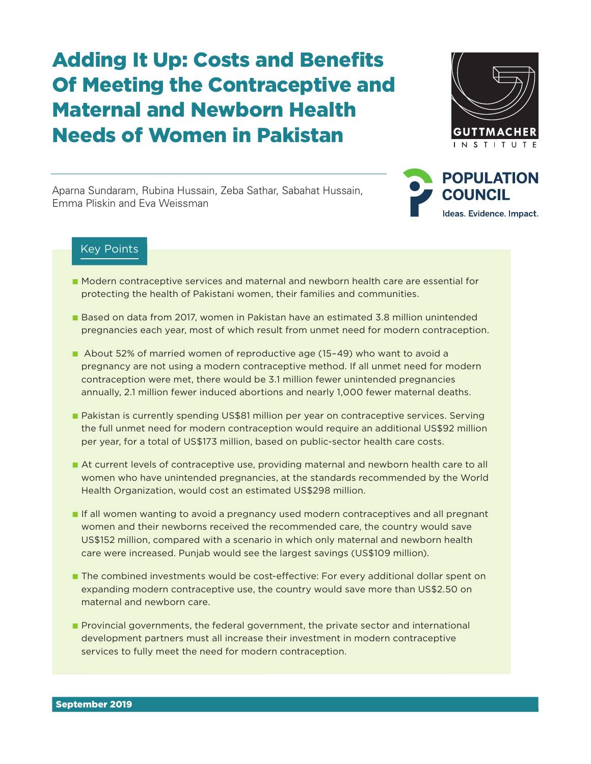# Adding It Up: Costs and Benefits Of Meeting the Contraceptive and Maternal and Newborn Health Needs of Women in Pakistan



Aparna Sundaram, Rubina Hussain, Zeba Sathar, Sabahat Hussain, Emma Pliskin and Eva Weissman



### Key Points

- Modern contraceptive services and maternal and newborn health care are essential for protecting the health of Pakistani women, their families and communities.
- Based on data from 2017, women in Pakistan have an estimated 3.8 million unintended pregnancies each year, most of which result from unmet need for modern contraception.
- About 52% of married women of reproductive age (15-49) who want to avoid a pregnancy are not using a modern contraceptive method. If all unmet need for modern contraception were met, there would be 3.1 million fewer unintended pregnancies annually, 2.1 million fewer induced abortions and nearly 1,000 fewer maternal deaths.
- Pakistan is currently spending US\$81 million per year on contraceptive services. Serving the full unmet need for modern contraception would require an additional US\$92 million per year, for a total of US\$173 million, based on public-sector health care costs.
- At current levels of contraceptive use, providing maternal and newborn health care to all women who have unintended pregnancies, at the standards recommended by the World Health Organization, would cost an estimated US\$298 million.
- If all women wanting to avoid a pregnancy used modern contraceptives and all pregnant women and their newborns received the recommended care, the country would save US\$152 million, compared with a scenario in which only maternal and newborn health care were increased. Punjab would see the largest savings (US\$109 million).
- The combined investments would be cost-effective: For every additional dollar spent on expanding modern contraceptive use, the country would save more than US\$2.50 on maternal and newborn care.
- Provincial governments, the federal government, the private sector and international development partners must all increase their investment in modern contraceptive services to fully meet the need for modern contraception.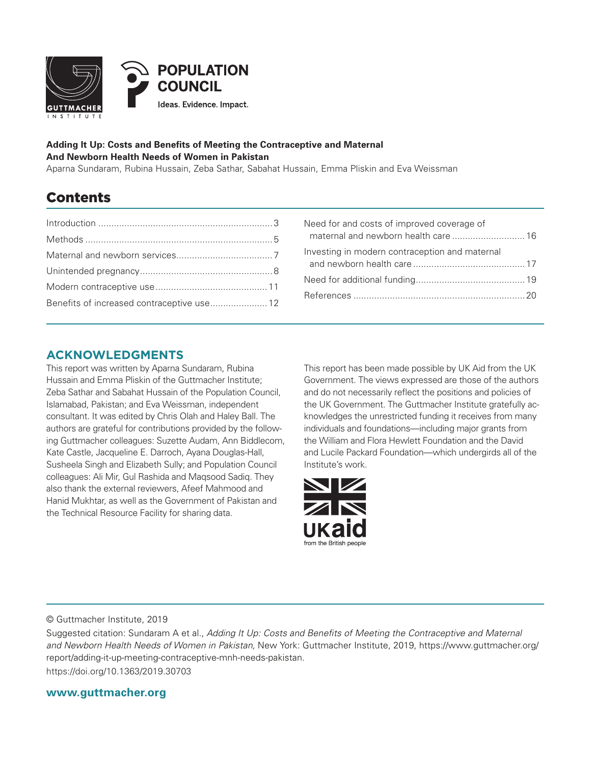

#### **Adding It Up: Costs and Benefits of Meeting the Contraceptive and Maternal And Newborn Health Needs of Women in Pakistan**

Aparna Sundaram, Rubina Hussain, Zeba Sathar, Sabahat Hussain, Emma Pliskin and Eva Weissman

### Contents

| Benefits of increased contraceptive use 12 |  |
|--------------------------------------------|--|

| Investing in modern contraception and maternal |
|------------------------------------------------|
|                                                |
|                                                |
|                                                |

### **ACKNOWLEDGMENTS**

This report was written by Aparna Sundaram, Rubina Hussain and Emma Pliskin of the Guttmacher Institute; Zeba Sathar and Sabahat Hussain of the Population Council, Islamabad, Pakistan; and Eva Weissman, independent consultant. It was edited by Chris Olah and Haley Ball. The authors are grateful for contributions provided by the following Guttmacher colleagues: Suzette Audam, Ann Biddlecom, Kate Castle, Jacqueline E. Darroch, Ayana Douglas-Hall, Susheela Singh and Elizabeth Sully; and Population Council colleagues: Ali Mir, Gul Rashida and Maqsood Sadiq. They also thank the external reviewers, Afeef Mahmood and Hanid Mukhtar, as well as the Government of Pakistan and the Technical Resource Facility for sharing data.

This report has been made possible by UK Aid from the UK Government. The views expressed are those of the authors and do not necessarily reflect the positions and policies of the UK Government. The Guttmacher Institute gratefully acknowledges the unrestricted funding it receives from many individuals and foundations—including major grants from the William and Flora Hewlett Foundation and the David and Lucile Packard Foundation—which undergirds all of the Institute's work.



© Guttmacher Institute, 2019

Suggested citation: Sundaram A et al., *Adding It Up: Costs and Benefits of Meeting the Contraceptive and Maternal and Newborn Health Needs of Women in Pakistan,* New York: Guttmacher Institute, 2019, https://www.guttmacher.org/ report/adding-it-up-meeting-contraceptive-mnh-needs-pakistan.

https://doi.org/10.1363/2019.30703

**www.guttmacher.org**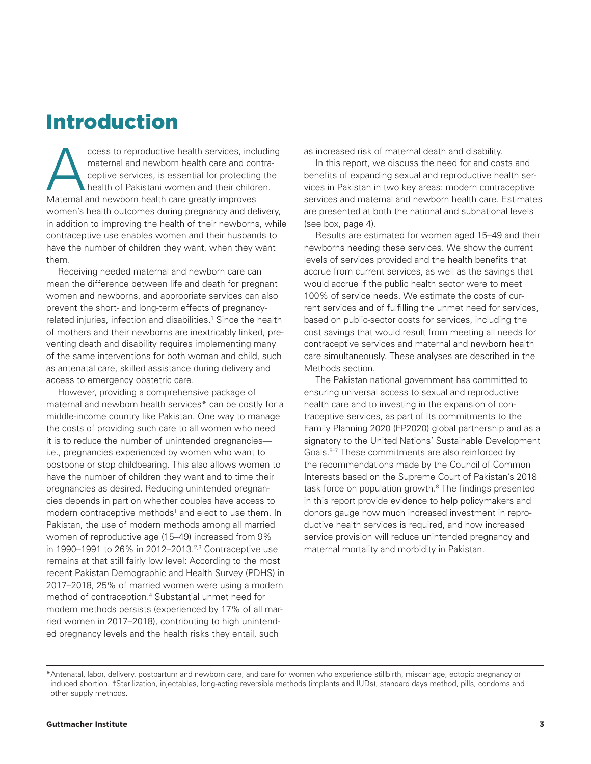### Introduction

ccess to reproductive health services, including<br>maternal and newborn health care and contra-<br>ceptive services, is essential for protecting the<br>health of Pakistani women and their children.<br>Maternal and newborn health care maternal and newborn health care and contraceptive services, is essential for protecting the health of Pakistani women and their children. Maternal and newborn health care greatly improves women's health outcomes during pregnancy and delivery, in addition to improving the health of their newborns, while contraceptive use enables women and their husbands to have the number of children they want, when they want them.

Receiving needed maternal and newborn care can mean the difference between life and death for pregnant women and newborns, and appropriate services can also prevent the short- and long-term effects of pregnancyrelated injuries, infection and disabilities.<sup>1</sup> Since the health of mothers and their newborns are inextricably linked, preventing death and disability requires implementing many of the same interventions for both woman and child, such as antenatal care, skilled assistance during delivery and access to emergency obstetric care.

However, providing a comprehensive package of maternal and newborn health services\* can be costly for a middle-income country like Pakistan. One way to manage the costs of providing such care to all women who need it is to reduce the number of unintended pregnancies i.e., pregnancies experienced by women who want to postpone or stop childbearing. This also allows women to have the number of children they want and to time their pregnancies as desired. Reducing unintended pregnancies depends in part on whether couples have access to modern contraceptive methods<sup>†</sup> and elect to use them. In Pakistan, the use of modern methods among all married women of reproductive age (15–49) increased from 9% in 1990–1991 to 26% in 2012–2013.<sup>2,3</sup> Contraceptive use remains at that still fairly low level: According to the most recent Pakistan Demographic and Health Survey (PDHS) in 2017–2018, 25% of married women were using a modern method of contraception.4 Substantial unmet need for modern methods persists (experienced by 17% of all married women in 2017–2018), contributing to high unintended pregnancy levels and the health risks they entail, such

as increased risk of maternal death and disability.

In this report, we discuss the need for and costs and benefits of expanding sexual and reproductive health services in Pakistan in two key areas: modern contraceptive services and maternal and newborn health care. Estimates are presented at both the national and subnational levels (see box, page 4).

Results are estimated for women aged 15–49 and their newborns needing these services. We show the current levels of services provided and the health benefits that accrue from current services, as well as the savings that would accrue if the public health sector were to meet 100% of service needs. We estimate the costs of current services and of fulfilling the unmet need for services, based on public-sector costs for services, including the cost savings that would result from meeting all needs for contraceptive services and maternal and newborn health care simultaneously. These analyses are described in the Methods section.

The Pakistan national government has committed to ensuring universal access to sexual and reproductive health care and to investing in the expansion of contraceptive services, as part of its commitments to the Family Planning 2020 (FP2020) global partnership and as a signatory to the United Nations' Sustainable Development Goals.5–7 These commitments are also reinforced by the recommendations made by the Council of Common Interests based on the Supreme Court of Pakistan's 2018 task force on population growth.<sup>8</sup> The findings presented in this report provide evidence to help policymakers and donors gauge how much increased investment in reproductive health services is required, and how increased service provision will reduce unintended pregnancy and maternal mortality and morbidity in Pakistan.

<sup>\*</sup>Antenatal, labor, delivery, postpartum and newborn care, and care for women who experience stillbirth, miscarriage, ectopic pregnancy or induced abortion. †Sterilization, injectables, long-acting reversible methods (implants and IUDs), standard days method, pills, condoms and other supply methods.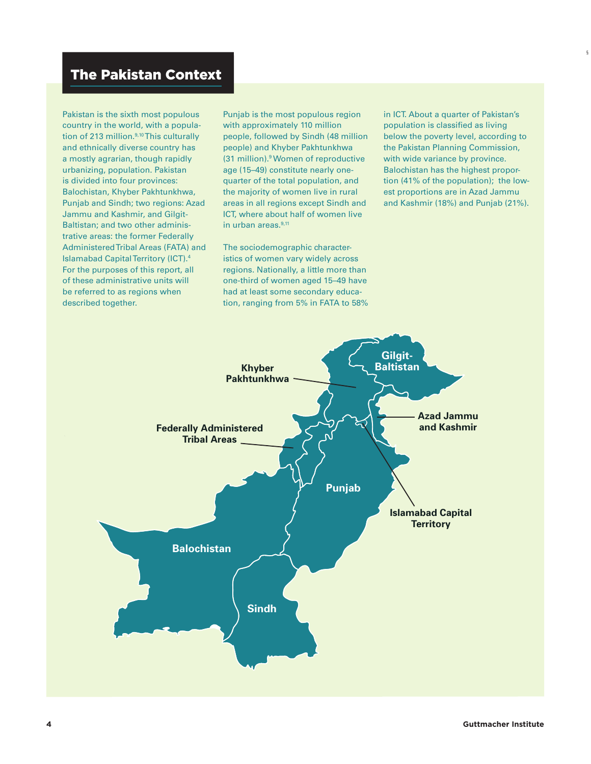Pakistan is the sixth most populous country in the world, with a population of 213 million.<sup>9,10</sup> This culturally and ethnically diverse country has a mostly agrarian, though rapidly urbanizing, population. Pakistan is divided into four provinces: Balochistan, Khyber Pakhtunkhwa, Punjab and Sindh; two regions: Azad Jammu and Kashmir, and Gilgit-Baltistan; and two other administrative areas: the former Federally Administered Tribal Areas (FATA) and Islamabad Capital Territory (ICT).4 For the purposes of this report, all of these administrative units will be referred to as regions when described together.

Punjab is the most populous region with approximately 110 million people, followed by Sindh (48 million people) and Khyber Pakhtunkhwa (31 million).9 Women of reproductive age (15–49) constitute nearly onequarter of the total population, and the majority of women live in rural areas in all regions except Sindh and ICT, where about half of women live in urban areas. $9,11$ 

The sociodemographic characteristics of women vary widely across regions. Nationally, a little more than one-third of women aged 15–49 have had at least some secondary education, ranging from 5% in FATA to 58% in ICT. About a quarter of Pakistan's population is classified as living below the poverty level, according to the Pakistan Planning Commission, with wide variance by province. Balochistan has the highest proportion (41% of the population); the lowest proportions are in Azad Jammu and Kashmir (18%) and Punjab (21%).

§

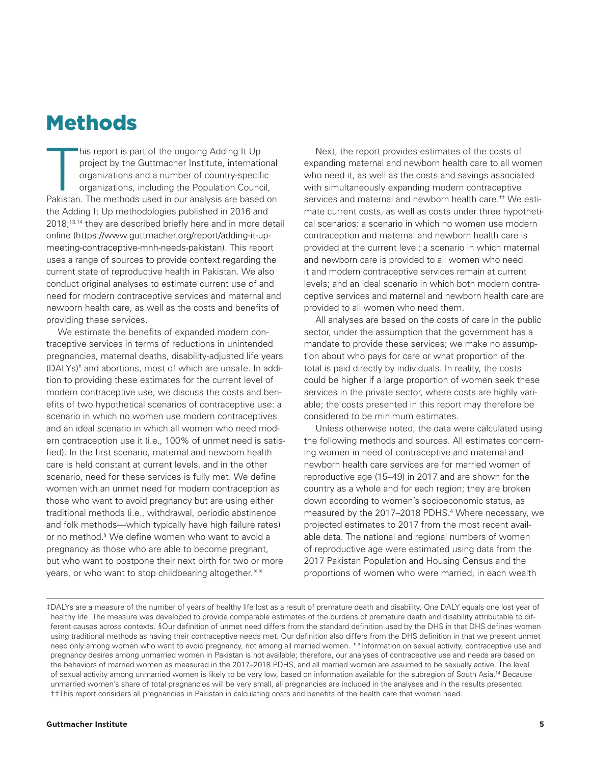### Methods

**Talent**<br>Pakistan his report is part of the ongoing Adding It Up project by the Guttmacher Institute, international organizations and a number of country-specific organizations, including the Population Council, Pakistan. The methods used in our analysis are based on the Adding It Up methodologies published in 2016 and 2018;<sup>13,14</sup> they are described briefly here and in more detail online (https://www.guttmacher.org/report/adding-it-upmeeting-contraceptive-mnh-needs-pakistan). This report uses a range of sources to provide context regarding the current state of reproductive health in Pakistan. We also conduct original analyses to estimate current use of and need for modern contraceptive services and maternal and newborn health care, as well as the costs and benefits of providing these services.

We estimate the benefits of expanded modern contraceptive services in terms of reductions in unintended pregnancies, maternal deaths, disability-adjusted life years (DALYs)‡ and abortions, most of which are unsafe. In addition to providing these estimates for the current level of modern contraceptive use, we discuss the costs and benefits of two hypothetical scenarios of contraceptive use: a scenario in which no women use modern contraceptives and an ideal scenario in which all women who need modern contraception use it (i.e., 100% of unmet need is satisfied). In the first scenario, maternal and newborn health care is held constant at current levels, and in the other scenario, need for these services is fully met. We define women with an unmet need for modern contraception as those who want to avoid pregnancy but are using either traditional methods (i.e., withdrawal, periodic abstinence and folk methods—which typically have high failure rates) or no method.§ We define women who want to avoid a pregnancy as those who are able to become pregnant, but who want to postpone their next birth for two or more years, or who want to stop childbearing altogether.\*\*

Next, the report provides estimates of the costs of expanding maternal and newborn health care to all women who need it, as well as the costs and savings associated with simultaneously expanding modern contraceptive services and maternal and newborn health care.†† We estimate current costs, as well as costs under three hypothetical scenarios: a scenario in which no women use modern contraception and maternal and newborn health care is provided at the current level; a scenario in which maternal and newborn care is provided to all women who need it and modern contraceptive services remain at current levels; and an ideal scenario in which both modern contraceptive services and maternal and newborn health care are provided to all women who need them.

All analyses are based on the costs of care in the public sector, under the assumption that the government has a mandate to provide these services; we make no assumption about who pays for care or what proportion of the total is paid directly by individuals. In reality, the costs could be higher if a large proportion of women seek these services in the private sector, where costs are highly variable; the costs presented in this report may therefore be considered to be minimum estimates.

Unless otherwise noted, the data were calculated using the following methods and sources. All estimates concerning women in need of contraceptive and maternal and newborn health care services are for married women of reproductive age (15–49) in 2017 and are shown for the country as a whole and for each region; they are broken down according to women's socioeconomic status, as measured by the 2017–2018 PDHS.<sup>4</sup> Where necessary, we projected estimates to 2017 from the most recent available data. The national and regional numbers of women of reproductive age were estimated using data from the 2017 Pakistan Population and Housing Census and the proportions of women who were married, in each wealth

<sup>‡</sup>DALYs are a measure of the number of years of healthy life lost as a result of premature death and disability. One DALY equals one lost year of healthy life. The measure was developed to provide comparable estimates of the burdens of premature death and disability attributable to different causes across contexts. §Our definition of unmet need differs from the standard definition used by the DHS in that DHS defines women using traditional methods as having their contraceptive needs met. Our definition also differs from the DHS definition in that we present unmet need only among women who want to avoid pregnancy, not among all married women. \*\*Information on sexual activity, contraceptive use and pregnancy desires among unmarried women in Pakistan is not available; therefore, our analyses of contraceptive use and needs are based on the behaviors of married women as measured in the 2017–2018 PDHS, and all married women are assumed to be sexually active. The level of sexual activity among unmarried women is likely to be very low, based on information available for the subregion of South Asia.14 Because unmarried women's share of total pregnancies will be very small, all pregnancies are included in the analyses and in the results presented. ††This report considers all pregnancies in Pakistan in calculating costs and benefits of the health care that women need.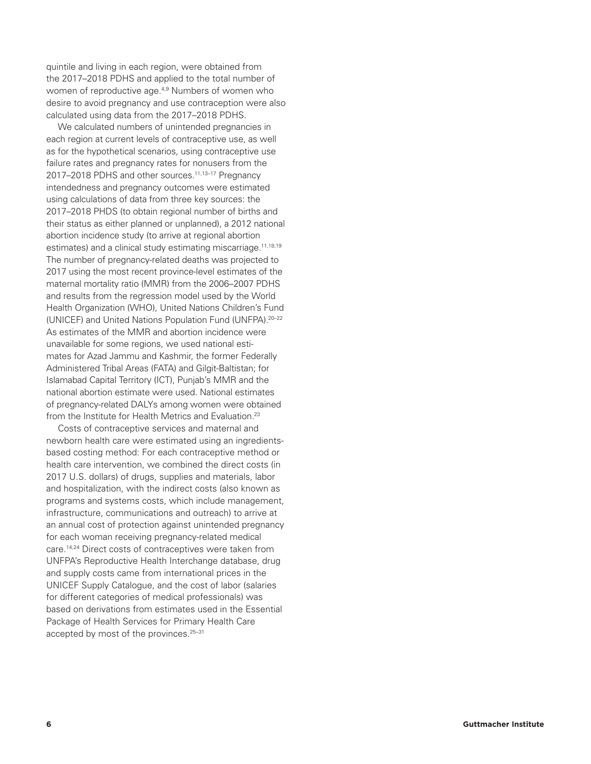quintile and living in each region, were obtained from the 2017–2018 PDHS and applied to the total number of women of reproductive age.<sup>4,9</sup> Numbers of women who desire to avoid pregnancy and use contraception were also calculated using data from the 2017–2018 PDHS.

We calculated numbers of unintended pregnancies in each region at current levels of contraceptive use, as well as for the hypothetical scenarios, using contraceptive use failure rates and pregnancy rates for nonusers from the 2017–2018 PDHS and other sources.<sup>11,13-17</sup> Pregnancy intendedness and pregnancy outcomes were estimated using calculations of data from three key sources: the 2017–2018 PHDS (to obtain regional number of births and their status as either planned or unplanned), a 2012 national abortion incidence study (to arrive at regional abortion estimates) and a clinical study estimating miscarriage.<sup>11,18,19</sup> The number of pregnancy-related deaths was projected to 2017 using the most recent province-level estimates of the maternal mortality ratio (MMR) from the 2006–2007 PDHS and results from the regression model used by the World Health Organization (WHO), United Nations Children's Fund (UNICEF) and United Nations Population Fund (UNFPA).20–22 As estimates of the MMR and abortion incidence were unavailable for some regions, we used national estimates for Azad Jammu and Kashmir, the former Federally Administered Tribal Areas (FATA) and Gilgit-Baltistan; for Islamabad Capital Territory (ICT), Punjab's MMR and the national abortion estimate were used. National estimates of pregnancy-related DALYs among women were obtained from the Institute for Health Metrics and Evaluation.<sup>23</sup>

Costs of contraceptive services and maternal and newborn health care were estimated using an ingredientsbased costing method: For each contraceptive method or health care intervention, we combined the direct costs (in 2017 U.S. dollars) of drugs, supplies and materials, labor and hospitalization, with the indirect costs (also known as programs and systems costs, which include management, infrastructure, communications and outreach) to arrive at an annual cost of protection against unintended pregnancy for each woman receiving pregnancy-related medical care.14,24 Direct costs of contraceptives were taken from UNFPA's Reproductive Health Interchange database, drug and supply costs came from international prices in the UNICEF Supply Catalogue, and the cost of labor (salaries for different categories of medical professionals) was based on derivations from estimates used in the Essential Package of Health Services for Primary Health Care accepted by most of the provinces.<sup>25-31</sup>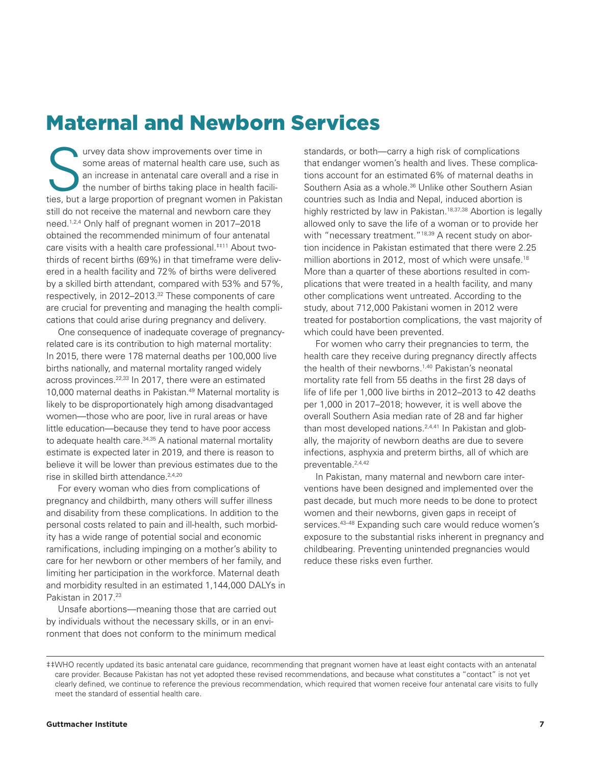### Maternal and Newborn Services

some areas of maternal health care use, such<br>an increase in antenatal care overall and a rise<br>the number of births taking place in health fa<br>ties but a large proportion of pregnant women in Paki some areas of maternal health care use, such as an increase in antenatal care overall and a rise in the number of births taking place in health facilities, but a large proportion of pregnant women in Pakistan still do not receive the maternal and newborn care they need.1,2,4 Only half of pregnant women in 2017–2018 obtained the recommended minimum of four antenatal care visits with a health care professional.‡‡11 About twothirds of recent births (69%) in that timeframe were delivered in a health facility and 72% of births were delivered by a skilled birth attendant, compared with 53% and 57%, respectively, in 2012–2013.<sup>32</sup> These components of care are crucial for preventing and managing the health complications that could arise during pregnancy and delivery.

One consequence of inadequate coverage of pregnancyrelated care is its contribution to high maternal mortality: In 2015, there were 178 maternal deaths per 100,000 live births nationally, and maternal mortality ranged widely across provinces.<sup>22,33</sup> In 2017, there were an estimated 10,000 maternal deaths in Pakistan.49 Maternal mortality is likely to be disproportionately high among disadvantaged women—those who are poor, live in rural areas or have little education—because they tend to have poor access to adequate health care.<sup>34,35</sup> A national maternal mortality estimate is expected later in 2019, and there is reason to believe it will be lower than previous estimates due to the rise in skilled birth attendance.<sup>2,4,20</sup>

For every woman who dies from complications of pregnancy and childbirth, many others will suffer illness and disability from these complications. In addition to the personal costs related to pain and ill-health, such morbidity has a wide range of potential social and economic ramifications, including impinging on a mother's ability to care for her newborn or other members of her family, and limiting her participation in the workforce. Maternal death and morbidity resulted in an estimated 1,144,000 DALYs in Pakistan in 2017.<sup>23</sup>

Unsafe abortions—meaning those that are carried out by individuals without the necessary skills, or in an environment that does not conform to the minimum medical

standards, or both—carry a high risk of complications that endanger women's health and lives. These complications account for an estimated 6% of maternal deaths in Southern Asia as a whole.<sup>36</sup> Unlike other Southern Asian countries such as India and Nepal, induced abortion is highly restricted by law in Pakistan.<sup>18,37,38</sup> Abortion is legally allowed only to save the life of a woman or to provide her with "necessary treatment."<sup>18,39</sup> A recent study on abortion incidence in Pakistan estimated that there were 2.25 million abortions in 2012, most of which were unsafe.<sup>18</sup> More than a quarter of these abortions resulted in complications that were treated in a health facility, and many other complications went untreated. According to the study, about 712,000 Pakistani women in 2012 were treated for postabortion complications, the vast majority of which could have been prevented.

For women who carry their pregnancies to term, the health care they receive during pregnancy directly affects the health of their newborns.1,40 Pakistan's neonatal mortality rate fell from 55 deaths in the first 28 days of life of life per 1,000 live births in 2012–2013 to 42 deaths per 1,000 in 2017–2018; however, it is well above the overall Southern Asia median rate of 28 and far higher than most developed nations.<sup>2,4,41</sup> In Pakistan and globally, the majority of newborn deaths are due to severe infections, asphyxia and preterm births, all of which are preventable.2,4,42

In Pakistan, many maternal and newborn care interventions have been designed and implemented over the past decade, but much more needs to be done to protect women and their newborns, given gaps in receipt of services.<sup>43-48</sup> Expanding such care would reduce women's exposure to the substantial risks inherent in pregnancy and childbearing. Preventing unintended pregnancies would reduce these risks even further.

<sup>‡‡</sup>WHO recently updated its basic antenatal care guidance, recommending that pregnant women have at least eight contacts with an antenatal care provider. Because Pakistan has not yet adopted these revised recommendations, and because what constitutes a "contact" is not yet clearly defined, we continue to reference the previous recommendation, which required that women receive four antenatal care visits to fully meet the standard of essential health care.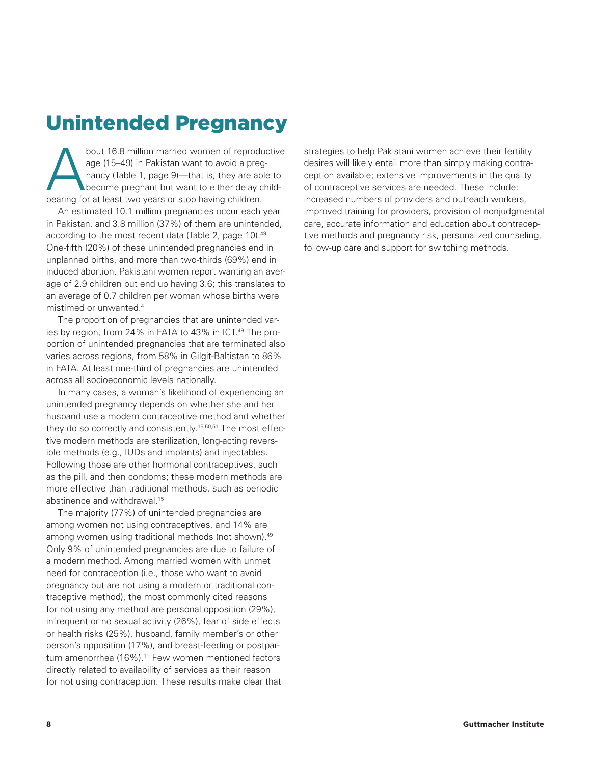## Unintended Pregnancy

bout 16.8 million married women of reproductive<br>age (15–49) in Pakistan want to avoid a preg-<br>nancy (Table 1, page 9)—that is, they are able to<br>become pregnant but want to either delay child-<br>hearing for at least two years age (15–49) in Pakistan want to avoid a pregnancy (Table 1, page 9)—that is, they are able to become pregnant but want to either delay childbearing for at least two years or stop having children.

An estimated 10.1 million pregnancies occur each year in Pakistan, and 3.8 million (37%) of them are unintended, according to the most recent data (Table 2, page 10).49 One-fifth (20%) of these unintended pregnancies end in unplanned births, and more than two-thirds (69%) end in induced abortion. Pakistani women report wanting an average of 2.9 children but end up having 3.6; this translates to an average of 0.7 children per woman whose births were mistimed or unwanted.4

The proportion of pregnancies that are unintended varies by region, from 24% in FATA to 43% in ICT.<sup>49</sup> The proportion of unintended pregnancies that are terminated also varies across regions, from 58% in Gilgit-Baltistan to 86% in FATA. At least one-third of pregnancies are unintended across all socioeconomic levels nationally.

In many cases, a woman's likelihood of experiencing an unintended pregnancy depends on whether she and her husband use a modern contraceptive method and whether they do so correctly and consistently.<sup>15,50,51</sup> The most effective modern methods are sterilization, long-acting reversible methods (e.g., IUDs and implants) and injectables. Following those are other hormonal contraceptives, such as the pill, and then condoms; these modern methods are more effective than traditional methods, such as periodic abstinence and withdrawal.15

The majority (77%) of unintended pregnancies are among women not using contraceptives, and 14% are among women using traditional methods (not shown).49 Only 9% of unintended pregnancies are due to failure of a modern method. Among married women with unmet need for contraception (i.e., those who want to avoid pregnancy but are not using a modern or traditional contraceptive method), the most commonly cited reasons for not using any method are personal opposition (29%), infrequent or no sexual activity (26%), fear of side effects or health risks (25%), husband, family member's or other person's opposition (17%), and breast-feeding or postpartum amenorrhea (16%).<sup>11</sup> Few women mentioned factors directly related to availability of services as their reason for not using contraception. These results make clear that strategies to help Pakistani women achieve their fertility desires will likely entail more than simply making contraception available; extensive improvements in the quality of contraceptive services are needed. These include: increased numbers of providers and outreach workers, improved training for providers, provision of nonjudgmental care, accurate information and education about contraceptive methods and pregnancy risk, personalized counseling, follow-up care and support for switching methods.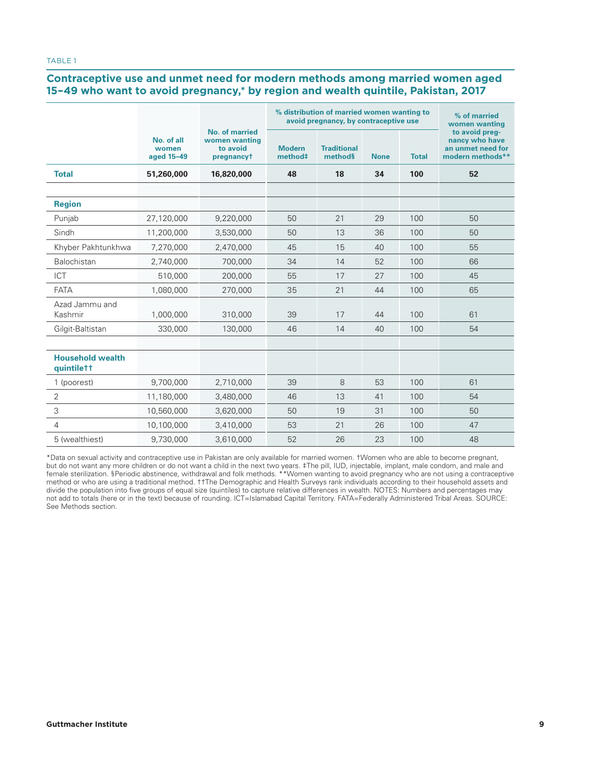#### **Contraceptive use and unmet need for modern methods among married women aged 15–49 who want to avoid pregnancy,\* by region and wealth quintile, Pakistan, 2017**

|                                       |                                   |                                                                  | % distribution of married women wanting to<br>avoid pregnancy, by contraceptive use | % of married<br>women wanting |             |              |                                                                           |
|---------------------------------------|-----------------------------------|------------------------------------------------------------------|-------------------------------------------------------------------------------------|-------------------------------|-------------|--------------|---------------------------------------------------------------------------|
|                                       | No. of all<br>women<br>aged 15-49 | <b>No. of married</b><br>women wanting<br>to avoid<br>pregnancyt | <b>Modern</b><br>method#                                                            | <b>Traditional</b><br>methods | <b>None</b> | <b>Total</b> | to avoid preg-<br>nancy who have<br>an unmet need for<br>modern methods** |
| <b>Total</b>                          | 51,260,000                        | 16,820,000                                                       | 48                                                                                  | 18                            | 34          | 100          | 52                                                                        |
|                                       |                                   |                                                                  |                                                                                     |                               |             |              |                                                                           |
| <b>Region</b>                         |                                   |                                                                  |                                                                                     |                               |             |              |                                                                           |
| Punjab                                | 27,120,000                        | 9,220,000                                                        | 50                                                                                  | 21                            | 29          | 100          | 50                                                                        |
| Sindh                                 | 11,200,000                        | 3,530,000                                                        | 50                                                                                  | 13                            | 36          | 100          | 50                                                                        |
| Khyber Pakhtunkhwa                    | 7,270,000                         | 2,470,000                                                        | 45                                                                                  | 15                            | 40          | 100          | 55                                                                        |
| <b>Balochistan</b>                    | 2,740,000                         | 700.000                                                          | 34                                                                                  | 14                            | 52          | 100          | 66                                                                        |
| <b>ICT</b>                            | 510,000                           | 200,000                                                          | 55                                                                                  | 17                            | 27          | 100          | 45                                                                        |
| <b>FATA</b>                           | 1,080,000                         | 270,000                                                          | 35                                                                                  | 21                            | 44          | 100          | 65                                                                        |
| Azad Jammu and<br>Kashmir             | 1,000,000                         | 310,000                                                          | 39                                                                                  | 17                            | 44          | 100          | 61                                                                        |
| Gilgit-Baltistan                      | 330,000                           | 130,000                                                          | 46                                                                                  | 14                            | 40          | 100          | 54                                                                        |
|                                       |                                   |                                                                  |                                                                                     |                               |             |              |                                                                           |
| <b>Household wealth</b><br>quintilett |                                   |                                                                  |                                                                                     |                               |             |              |                                                                           |
| 1 (poorest)                           | 9,700,000                         | 2,710,000                                                        | 39                                                                                  | 8                             | 53          | 100          | 61                                                                        |
| 2                                     | 11,180,000                        | 3,480,000                                                        | 46                                                                                  | 13                            | 41          | 100          | 54                                                                        |
| 3                                     | 10,560,000                        | 3,620,000                                                        | 50                                                                                  | 19                            | 31          | 100          | 50                                                                        |
| 4                                     | 10,100,000                        | 3,410,000                                                        | 53                                                                                  | 21                            | 26          | 100          | 47                                                                        |
| 5 (wealthiest)                        | 9,730,000                         | 3,610,000                                                        | 52                                                                                  | 26                            | 23          | 100          | 48                                                                        |

\*Data on sexual activity and contraceptive use in Pakistan are only available for married women. †Women who are able to become pregnant, but do not want any more children or do not want a child in the next two years. ‡The pill, IUD, injectable, implant, male condom, and male and female sterilization. §Periodic abstinence, withdrawal and folk methods. \*\*Women wanting to avoid pregnancy who are not using a contraceptive method or who are using a traditional method. ††The Demographic and Health Surveys rank individuals according to their household assets and divide the population into five groups of equal size (quintiles) to capture relative differences in wealth. NOTES: Numbers and percentages may not add to totals (here or in the text) because of rounding. ICT=Islamabad Capital Territory. FATA=Federally Administered Tribal Areas. SOURCE: See Methods section.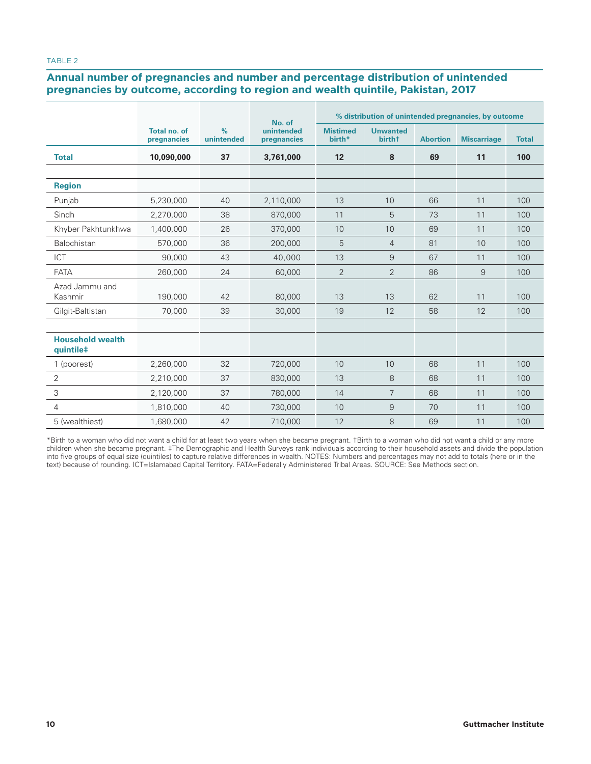#### TABLE 2

### **Annual number of pregnancies and number and percentage distribution of unintended pregnancies by outcome, according to region and wealth quintile, Pakistan, 2017**

|                                      | % distribution of unintended pregnancies, by outcome<br>No. of |                             |                           |                           |                                              |                 |                    |              |
|--------------------------------------|----------------------------------------------------------------|-----------------------------|---------------------------|---------------------------|----------------------------------------------|-----------------|--------------------|--------------|
|                                      | Total no. of<br>pregnancies                                    | $\frac{9}{6}$<br>unintended | unintended<br>pregnancies | <b>Mistimed</b><br>birth* | <b>Unwanted</b><br><b>birth</b> <sup>+</sup> | <b>Abortion</b> | <b>Miscarriage</b> | <b>Total</b> |
| <b>Total</b>                         | 10.090.000                                                     | 37                          | 3.761.000                 | 12                        | 8                                            | 69              | 11                 | 100          |
|                                      |                                                                |                             |                           |                           |                                              |                 |                    |              |
| <b>Region</b>                        |                                                                |                             |                           |                           |                                              |                 |                    |              |
| Punjab                               | 5,230,000                                                      | 40                          | 2,110,000                 | 13                        | 10                                           | 66              | 11                 | 100          |
| Sindh                                | 2,270,000                                                      | 38                          | 870,000                   | 11                        | 5                                            | 73              | 11                 | 100          |
| Khyber Pakhtunkhwa                   | 1,400,000                                                      | 26                          | 370,000                   | 10                        | 10                                           | 69              | 11                 | 100          |
| <b>Balochistan</b>                   | 570,000                                                        | 36                          | 200,000                   | 5                         | $\overline{4}$                               | 81              | 10                 | 100          |
| ICT                                  | 90,000                                                         | 43                          | 40,000                    | 13                        | 9                                            | 67              | 11                 | 100          |
| <b>FATA</b>                          | 260,000                                                        | 24                          | 60,000                    | $\overline{2}$            | $\overline{2}$                               | 86              | 9                  | 100          |
| Azad Jammu and<br>Kashmir            | 190.000                                                        | 42                          | 80,000                    | 13                        | 13                                           | 62              | 11                 | 100          |
| Gilgit-Baltistan                     | 70,000                                                         | 39                          | 30,000                    | 19                        | 12                                           | 58              | 12                 | 100          |
|                                      |                                                                |                             |                           |                           |                                              |                 |                    |              |
| <b>Household wealth</b><br>quintile‡ |                                                                |                             |                           |                           |                                              |                 |                    |              |
| 1 (poorest)                          | 2,260,000                                                      | 32                          | 720,000                   | 10                        | 10                                           | 68              | 11                 | 100          |
| $\overline{2}$                       | 2,210,000                                                      | 37                          | 830,000                   | 13                        | 8                                            | 68              | 11                 | 100          |
| 3                                    | 2,120,000                                                      | 37                          | 780,000                   | 14                        | $\overline{7}$                               | 68              | 11                 | 100          |
| 4                                    | 1,810,000                                                      | 40                          | 730,000                   | 10                        | $\overline{9}$                               | 70              | 11                 | 100          |
| 5 (wealthiest)                       | 1,680,000                                                      | 42                          | 710,000                   | 12                        | 8                                            | 69              | 11                 | 100          |

\*Birth to a woman who did not want a child for at least two years when she became pregnant. †Birth to a woman who did not want a child or any more children when she became pregnant. ‡The Demographic and Health Surveys rank individuals according to their household assets and divide the population into five groups of equal size (quintiles) to capture relative differences in wealth. NOTES: Numbers and percentages may not add to totals (here or in the text) because of rounding. ICT=Islamabad Capital Territory. FATA=Federally Administered Tribal Areas. SOURCE: See Methods section.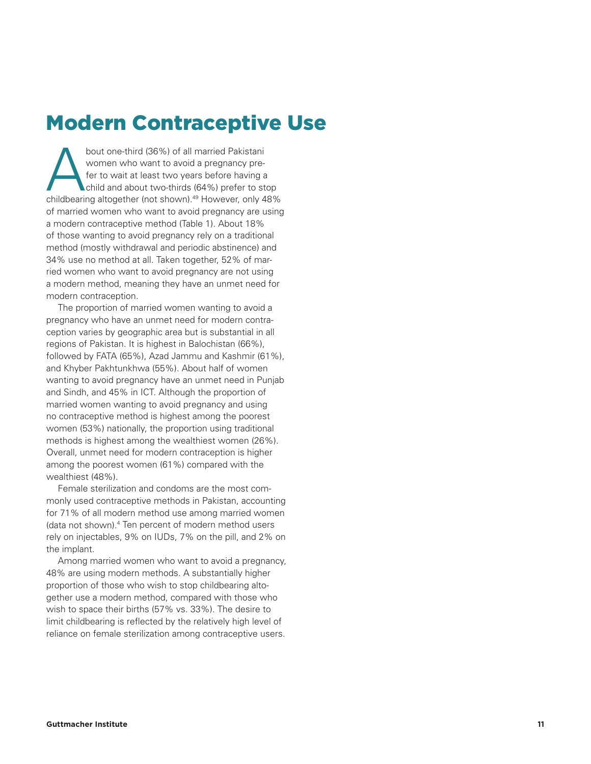## Modern Contraceptive Use

women who want to avoid a pregnancy pre fer to wait at least two years before having a child and about two-thirds (64%) prefer to stop childbearing altogether (not shown).49 However, only 48% of married women who want to avoid pregnancy are using a modern contraceptive method (Table 1). About 18% of those wanting to avoid pregnancy rely on a traditional method (mostly withdrawal and periodic abstinence) and 34% use no method at all. Taken together, 52% of married women who want to avoid pregnancy are not using a modern method, meaning they have an unmet need for modern contraception.

**Sociological design and the matter of all married Pakistani<br>
<b>Current with the matter weak to sell matter the matter of all matter in the matter of all matter in the matter of all matter in the matter of all matter in th** The proportion of married women wanting to avoid a pregnancy who have an unmet need for modern contra ception varies by geographic area but is substantial in all regions of Pakistan. It is highest in Balochistan (66%), followed by FATA (65%), Azad Jammu and Kashmir (61%), and Khyber Pakhtunkhwa (55%). About half of women wanting to avoid pregnancy have an unmet need in Punjab and Sindh, and 45% in ICT. Although the proportion of married women wanting to avoid pregnancy and using no contraceptive method is highest among the poorest women (53%) nationally, the proportion using traditional methods is highest among the wealthiest women (26%). Overall, unmet need for modern contraception is higher among the poorest women (61%) compared with the wealthiest (48%).

Female sterilization and condoms are the most com monly used contraceptive methods in Pakistan, accounting for 71% of all modern method use among married women (data not shown).<sup>4</sup> Ten percent of modern method users rely on injectables, 9% on IUDs, 7% on the pill, and 2% on the implant.

Among married women who want to avoid a pregnancy, 48% are using modern methods. A substantially higher proportion of those who wish to stop childbearing alto gether use a modern method, compared with those who wish to space their births (57% vs. 33%). The desire to limit childbearing is reflected by the relatively high level of reliance on female sterilization among contraceptive users.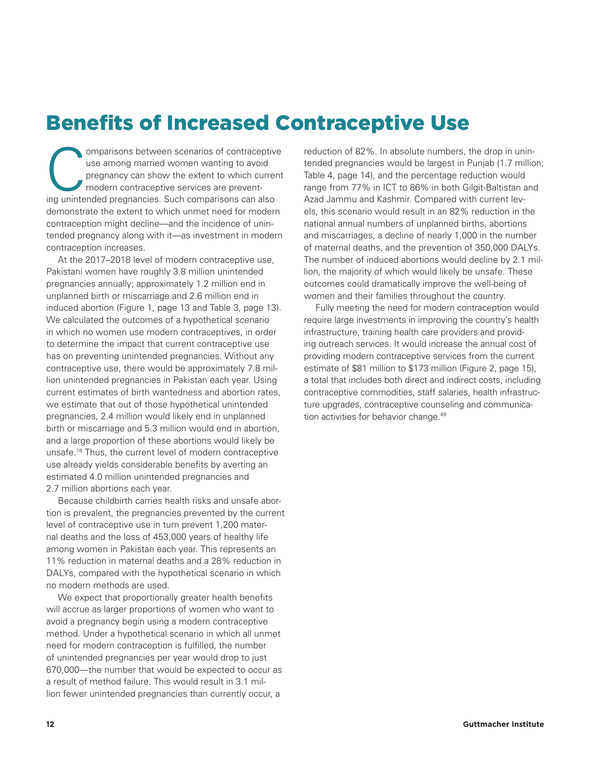## Benefits of Increased Contraceptive Use

omparisons between scenarios of contraceptive<br>use among married women wanting to avoid<br>pregnancy can show the extent to which current<br>modern contraceptive services are prevent-<br>inclunitanded pregnancies. Such comparisons c use among married women wanting to avoid pregnancy can show the extent to which current modern contraceptive services are preventing unintended pregnancies. Such comparisons can also demonstrate the extent to which unmet need for modern contraception might decline—and the incidence of unintended pregnancy along with it—as investment in modern contraception increases.

At the 2017–2018 level of modern contraceptive use, Pakistani women have roughly 3.8 million unintended pregnancies annually; approximately 1.2 million end in unplanned birth or miscarriage and 2.6 million end in induced abortion (Figure 1, page 13 and Table 3, page 13). We calculated the outcomes of a hypothetical scenario in which no women use modern contraceptives, in order to determine the impact that current contraceptive use has on preventing unintended pregnancies. Without any contraceptive use, there would be approximately 7.8 million unintended pregnancies in Pakistan each year. Using current estimates of birth wantedness and abortion rates, we estimate that out of those hypothetical unintended pregnancies, 2.4 million would likely end in unplanned birth or miscarriage and 5.3 million would end in abortion, and a large proportion of these abortions would likely be unsafe.18 Thus, the current level of modern contraceptive use already yields considerable benefits by averting an estimated 4.0 million unintended pregnancies and 2.7 million abortions each year.

Because childbirth carries health risks and unsafe abortion is prevalent, the pregnancies prevented by the current level of contraceptive use in turn prevent 1,200 maternal deaths and the loss of 453,000 years of healthy life among women in Pakistan each year. This represents an 11% reduction in maternal deaths and a 28% reduction in DALYs, compared with the hypothetical scenario in which no modern methods are used.

We expect that proportionally greater health benefits will accrue as larger proportions of women who want to avoid a pregnancy begin using a modern contraceptive method. Under a hypothetical scenario in which all unmet need for modern contraception is fulfilled, the number of unintended pregnancies per year would drop to just 670,000—the number that would be expected to occur as a result of method failure. This would result in 3.1 million fewer unintended pregnancies than currently occur, a

reduction of 82%. In absolute numbers, the drop in unintended pregnancies would be largest in Punjab (1.7 million; Table 4, page 14), and the percentage reduction would range from 77% in ICT to 86% in both Gilgit-Baltistan and Azad Jammu and Kashmir. Compared with current levels, this scenario would result in an 82% reduction in the national annual numbers of unplanned births, abortions and miscarriages, a decline of nearly 1,000 in the number of maternal deaths, and the prevention of 350,000 DALYs. The number of induced abortions would decline by 2.1 million, the majority of which would likely be unsafe. These outcomes could dramatically improve the well-being of women and their families throughout the country.

Fully meeting the need for modern contraception would require large investments in improving the country's health infrastructure, training health care providers and providing outreach services. It would increase the annual cost of providing modern contraceptive services from the current estimate of \$81 million to \$173 million (Figure 2, page 15), a total that includes both direct and indirect costs, including contraceptive commodities, staff salaries, health infrastructure upgrades, contraceptive counseling and communication activities for behavior change.49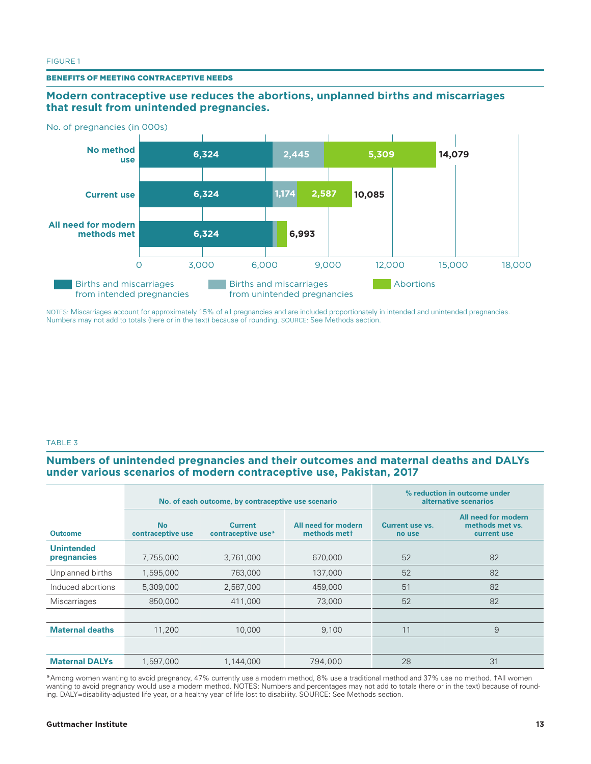#### BENEFITS OF MEETING CONTRACEPTIVE NEEDS

#### **Modern contraceptive use reduces the abortions, unplanned births and miscarriages that result from unintended pregnancies.**



NOTES: Miscarriages account for approximately 15% of all pregnancies and are included proportionately in intended and unintended pregnancies. Numbers may not add to totals (here or in the text) because of rounding. SOURCE: See Methods section.

#### TABLE 3

#### **Numbers of unintended pregnancies and their outcomes and maternal deaths and DALYs under various scenarios of modern contraceptive use, Pakistan, 2017**

|                                  |                                | No. of each outcome, by contraceptive use scenario | % reduction in outcome under<br>alternative scenarios |                                  |                                                       |
|----------------------------------|--------------------------------|----------------------------------------------------|-------------------------------------------------------|----------------------------------|-------------------------------------------------------|
| <b>Outcome</b>                   | <b>No</b><br>contraceptive use | <b>Current</b><br>contraceptive use*               | All need for modern<br>methods mett                   | <b>Current use vs.</b><br>no use | All need for modern<br>methods met vs.<br>current use |
| <b>Unintended</b><br>pregnancies | 7,755,000                      | 3,761,000                                          | 670,000                                               | 52                               | 82                                                    |
| Unplanned births                 | 1,595,000                      | 763,000                                            | 137,000                                               | 52                               | 82                                                    |
| Induced abortions                | 5,309,000                      | 2,587,000                                          | 459,000                                               | 51                               | 82                                                    |
| Miscarriages                     | 850,000                        | 411,000                                            | 73,000                                                | 52                               | 82                                                    |
|                                  |                                |                                                    |                                                       |                                  |                                                       |
| <b>Maternal deaths</b>           | 11,200                         | 10,000                                             | 9,100                                                 | 11                               | 9                                                     |
|                                  |                                |                                                    |                                                       |                                  |                                                       |
| <b>Maternal DALYs</b>            | 1,597,000                      | 1,144,000                                          | 794,000                                               | 28                               | 31                                                    |

\*Among women wanting to avoid pregnancy, 47% currently use a modern method, 8% use a traditional method and 37% use no method. †All women wanting to avoid pregnancy would use a modern method. NOTES: Numbers and percentages may not add to totals (here or in the text) because of rounding. DALY=disability-adjusted life year, or a healthy year of life lost to disability. SOURCE: See Methods section.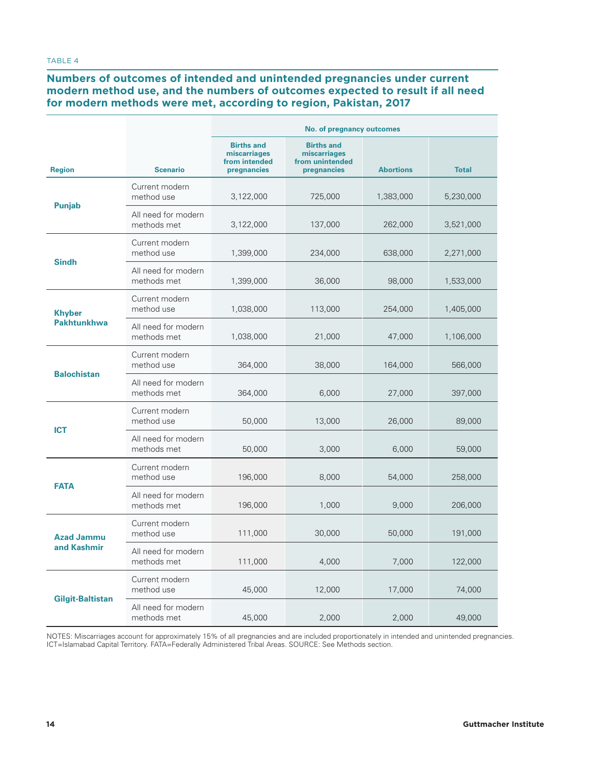#### TABLE 4

#### **Numbers of outcomes of intended and unintended pregnancies under current modern method use, and the numbers of outcomes expected to result if all need for modern methods were met, according to region, Pakistan, 2017**

|                                  |                                    | No. of pregnancy outcomes                                         |                                                                     |                  |              |  |  |
|----------------------------------|------------------------------------|-------------------------------------------------------------------|---------------------------------------------------------------------|------------------|--------------|--|--|
| <b>Region</b>                    | <b>Scenario</b>                    | <b>Births and</b><br>miscarriages<br>from intended<br>pregnancies | <b>Births and</b><br>miscarriages<br>from unintended<br>pregnancies | <b>Abortions</b> | <b>Total</b> |  |  |
|                                  | Current modern<br>method use       | 3,122,000                                                         | 725,000                                                             | 1,383,000        | 5,230,000    |  |  |
| <b>Punjab</b>                    | All need for modern<br>methods met | 3,122,000                                                         | 137,000                                                             | 262,000          | 3,521,000    |  |  |
| <b>Sindh</b>                     | Current modern<br>method use       | 1,399,000                                                         | 234,000                                                             | 638,000          | 2,271,000    |  |  |
|                                  | All need for modern<br>methods met | 1,399,000                                                         | 36,000                                                              | 98,000           | 1,533,000    |  |  |
| <b>Khyber</b>                    | Current modern<br>method use       | 1,038,000                                                         | 113,000                                                             | 254,000          | 1,405,000    |  |  |
| <b>Pakhtunkhwa</b>               | All need for modern<br>methods met | 1,038,000                                                         | 21,000                                                              | 47,000           | 1,106,000    |  |  |
| <b>Balochistan</b>               | Current modern<br>method use       | 364,000                                                           | 38,000                                                              | 164,000          | 566,000      |  |  |
|                                  | All need for modern<br>methods met | 364,000                                                           | 6,000                                                               | 27,000           | 397,000      |  |  |
| <b>ICT</b>                       | Current modern<br>method use       | 50,000                                                            | 13,000                                                              | 26,000           | 89,000       |  |  |
|                                  | All need for modern<br>methods met | 50,000                                                            | 3,000                                                               | 6,000            | 59,000       |  |  |
| <b>FATA</b>                      | Current modern<br>method use       | 196,000                                                           | 8,000                                                               | 54,000           | 258,000      |  |  |
|                                  | All need for modern<br>methods met | 196,000                                                           | 1,000                                                               | 9,000            | 206,000      |  |  |
| <b>Azad Jammu</b><br>and Kashmir | Current modern<br>method use       | 111,000                                                           | 30,000                                                              | 50,000           | 191,000      |  |  |
|                                  | All need for modern<br>methods met | 111,000                                                           | 4,000                                                               | 7,000            | 122,000      |  |  |
| <b>Gilgit-Baltistan</b>          | Current modern<br>method use       | 45,000                                                            | 12,000                                                              | 17,000           | 74,000       |  |  |
|                                  | All need for modern<br>methods met | 45,000                                                            | 2,000                                                               | 2,000            | 49,000       |  |  |

NOTES: Miscarriages account for approximately 15% of all pregnancies and are included proportionately in intended and unintended pregnancies. ICT=Islamabad Capital Territory. FATA=Federally Administered Tribal Areas. SOURCE: See Methods section.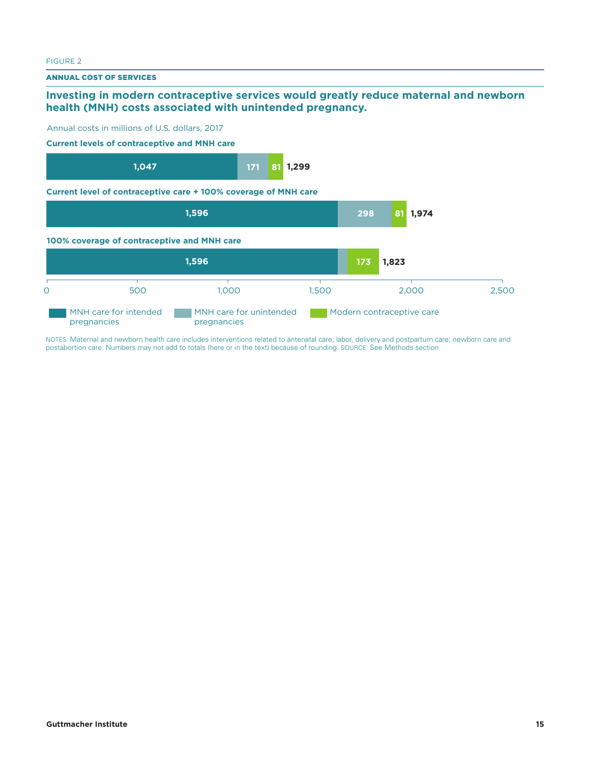#### FIGURE 2

ANNUAL COST OF SERVICES

#### **Investing in modern contraceptive services would greatly reduce maternal and newborn health (MNH) costs associated with unintended pregnancy.**



NOTES: Maternal and newborn health care includes interventions related to antenatal care; labor, delivery and postpartum care; newborn care and postabortion care. Numbers may not add to totals (here or in the text) because of rounding. SOURCE: See Methods section.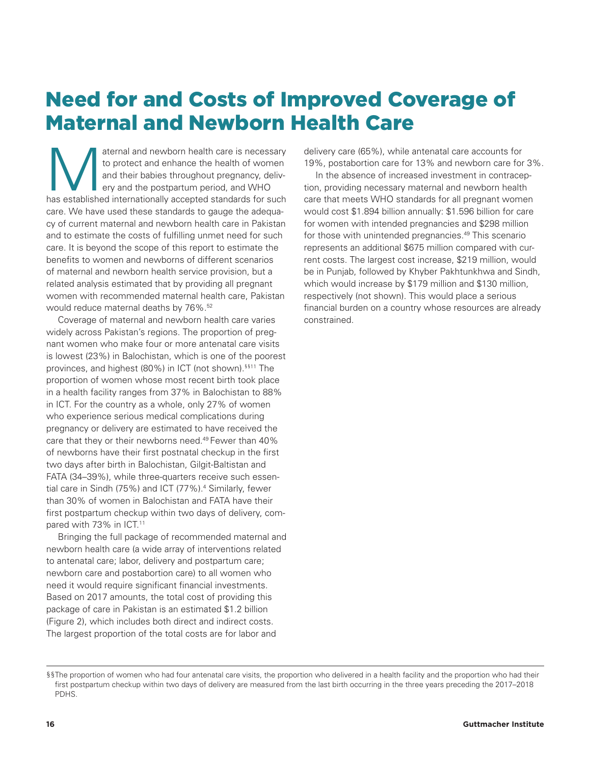## Need for and Costs of Improved Coverage of Maternal and Newborn Health Care

aternal and newborn health care is necessary<br>to protect and enhance the health of women<br>and their babies throughout pregnancy, deliv-<br>ery and the postpartum period, and WHO<br>has established internationally accented standard to protect and enhance the health of women and their babies throughout pregnancy, delivery and the postpartum period, and WHO has established internationally accepted standards for such care. We have used these standards to gauge the adequacy of current maternal and newborn health care in Pakistan and to estimate the costs of fulfilling unmet need for such care. It is beyond the scope of this report to estimate the benefits to women and newborns of different scenarios of maternal and newborn health service provision, but a related analysis estimated that by providing all pregnant women with recommended maternal health care, Pakistan would reduce maternal deaths by 76%.<sup>52</sup>

Coverage of maternal and newborn health care varies widely across Pakistan's regions. The proportion of pregnant women who make four or more antenatal care visits is lowest (23%) in Balochistan, which is one of the poorest provinces, and highest (80%) in ICT (not shown).<sup>§§11</sup> The proportion of women whose most recent birth took place in a health facility ranges from 37% in Balochistan to 88% in ICT. For the country as a whole, only 27% of women who experience serious medical complications during pregnancy or delivery are estimated to have received the care that they or their newborns need.49 Fewer than 40% of newborns have their first postnatal checkup in the first two days after birth in Balochistan, Gilgit-Baltistan and FATA (34–39%), while three-quarters receive such essential care in Sindh (75%) and ICT (77%).4 Similarly, fewer than 30% of women in Balochistan and FATA have their first postpartum checkup within two days of delivery, compared with 73% in ICT.<sup>11</sup>

Bringing the full package of recommended maternal and newborn health care (a wide array of interventions related to antenatal care; labor, delivery and postpartum care; newborn care and postabortion care) to all women who need it would require significant financial investments. Based on 2017 amounts, the total cost of providing this package of care in Pakistan is an estimated \$1.2 billion (Figure 2), which includes both direct and indirect costs. The largest proportion of the total costs are for labor and

delivery care (65%), while antenatal care accounts for 19%, postabortion care for 13% and newborn care for 3%.

In the absence of increased investment in contraception, providing necessary maternal and newborn health care that meets WHO standards for all pregnant women would cost \$1.894 billion annually: \$1.596 billion for care for women with intended pregnancies and \$298 million for those with unintended pregnancies.<sup>49</sup> This scenario represents an additional \$675 million compared with current costs. The largest cost increase, \$219 million, would be in Punjab, followed by Khyber Pakhtunkhwa and Sindh, which would increase by \$179 million and \$130 million, respectively (not shown). This would place a serious financial burden on a country whose resources are already constrained.

<sup>§§</sup>The proportion of women who had four antenatal care visits, the proportion who delivered in a health facility and the proportion who had their first postpartum checkup within two days of delivery are measured from the last birth occurring in the three years preceding the 2017–2018 PDHS.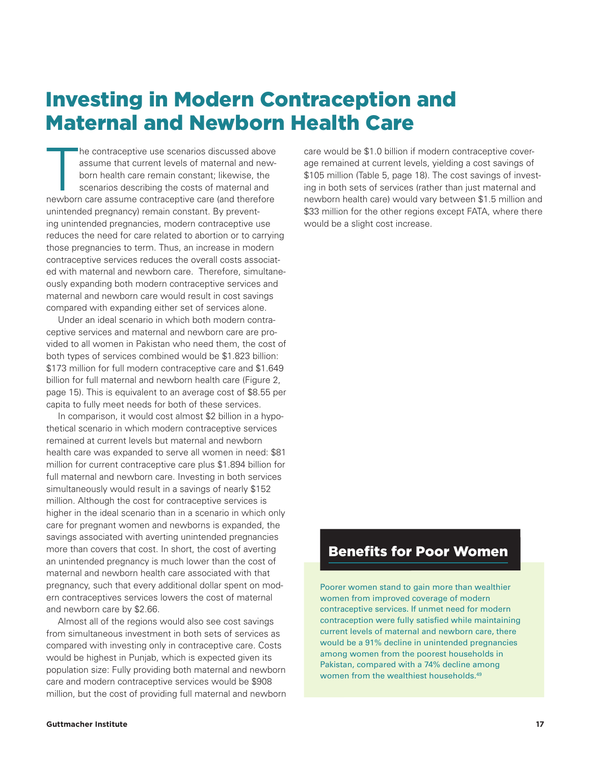## Investing in Modern Contraception and Maternal and Newborn Health Care

 $\begin{bmatrix} 1 \\ 1 \\ 2 \\ 3 \\ 4 \end{bmatrix}$ he contraceptive use scenarios discussed above assume that current levels of maternal and newborn health care remain constant; likewise, the scenarios describing the costs of maternal and newborn care assume contraceptive care (and therefore unintended pregnancy) remain constant. By preventing unintended pregnancies, modern contraceptive use reduces the need for care related to abortion or to carrying those pregnancies to term. Thus, an increase in modern contraceptive services reduces the overall costs associated with maternal and newborn care. Therefore, simultaneously expanding both modern contraceptive services and maternal and newborn care would result in cost savings compared with expanding either set of services alone.

Under an ideal scenario in which both modern contraceptive services and maternal and newborn care are provided to all women in Pakistan who need them, the cost of both types of services combined would be \$1.823 billion: \$173 million for full modern contraceptive care and \$1.649 billion for full maternal and newborn health care (Figure 2, page 15). This is equivalent to an average cost of \$8.55 per capita to fully meet needs for both of these services.

In comparison, it would cost almost \$2 billion in a hypothetical scenario in which modern contraceptive services remained at current levels but maternal and newborn health care was expanded to serve all women in need: \$81 million for current contraceptive care plus \$1.894 billion for full maternal and newborn care. Investing in both services simultaneously would result in a savings of nearly \$152 million. Although the cost for contraceptive services is higher in the ideal scenario than in a scenario in which only care for pregnant women and newborns is expanded, the savings associated with averting unintended pregnancies more than covers that cost. In short, the cost of averting an unintended pregnancy is much lower than the cost of maternal and newborn health care associated with that pregnancy, such that every additional dollar spent on modern contraceptives services lowers the cost of maternal and newborn care by \$2.66.

Almost all of the regions would also see cost savings from simultaneous investment in both sets of services as compared with investing only in contraceptive care. Costs would be highest in Punjab, which is expected given its population size: Fully providing both maternal and newborn care and modern contraceptive services would be \$908 million, but the cost of providing full maternal and newborn care would be \$1.0 billion if modern contraceptive coverage remained at current levels, yielding a cost savings of \$105 million (Table 5, page 18). The cost savings of investing in both sets of services (rather than just maternal and newborn health care) would vary between \$1.5 million and \$33 million for the other regions except FATA, where there would be a slight cost increase.

### Benefits for Poor Women

Poorer women stand to gain more than wealthier women from improved coverage of modern contraceptive services. If unmet need for modern contraception were fully satisfied while maintaining current levels of maternal and newborn care, there would be a 91% decline in unintended pregnancies among women from the poorest households in Pakistan, compared with a 74% decline among women from the wealthiest households.<sup>49</sup>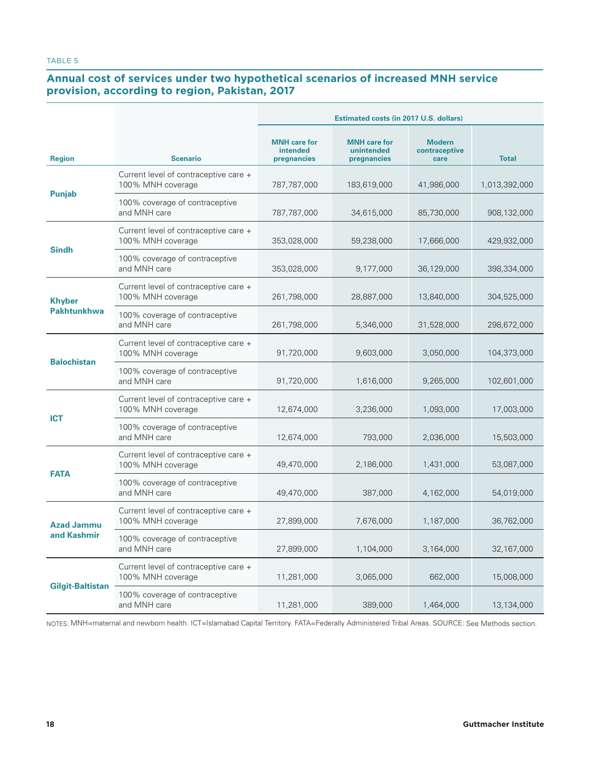### **Annual cost of services under two hypothetical scenarios of increased MNH service provision, according to region, Pakistan, 2017**

|                                  |                                                            | <b>Estimated costs (in 2017 U.S. dollars)</b>  |                                                  |                                        |               |  |  |
|----------------------------------|------------------------------------------------------------|------------------------------------------------|--------------------------------------------------|----------------------------------------|---------------|--|--|
| <b>Region</b>                    | <b>Scenario</b>                                            | <b>MNH</b> care for<br>intended<br>pregnancies | <b>MNH</b> care for<br>unintended<br>pregnancies | <b>Modern</b><br>contraceptive<br>care | <b>Total</b>  |  |  |
|                                  | Current level of contraceptive care +<br>100% MNH coverage | 787,787,000                                    | 183,619,000                                      | 41,986,000                             | 1,013,392,000 |  |  |
| <b>Punjab</b>                    | 100% coverage of contraceptive<br>and MNH care             | 787,787,000                                    | 34,615,000                                       | 85,730,000                             | 908,132,000   |  |  |
|                                  | Current level of contraceptive care +<br>100% MNH coverage | 353,028,000                                    | 59,238,000                                       | 17.666.000                             | 429,932,000   |  |  |
| <b>Sindh</b>                     | 100% coverage of contraceptive<br>and MNH care             | 353,028,000                                    | 9,177,000                                        | 36,129,000                             | 398,334,000   |  |  |
| <b>Khyber</b>                    | Current level of contraceptive care +<br>100% MNH coverage | 261,798,000                                    | 28,887,000                                       | 13,840,000                             | 304,525,000   |  |  |
| <b>Pakhtunkhwa</b>               | 100% coverage of contraceptive<br>and MNH care             | 261,798,000                                    | 5,346,000                                        | 31,528,000                             | 298,672,000   |  |  |
| <b>Balochistan</b>               | Current level of contraceptive care +<br>100% MNH coverage | 91,720,000                                     | 9,603,000                                        | 3,050,000                              | 104,373,000   |  |  |
|                                  | 100% coverage of contraceptive<br>and MNH care             | 91,720,000                                     | 1,616,000                                        | 9,265,000                              | 102,601,000   |  |  |
| <b>ICT</b>                       | Current level of contraceptive care +<br>100% MNH coverage | 12,674,000                                     | 3,236,000                                        | 1,093,000                              | 17,003,000    |  |  |
|                                  | 100% coverage of contraceptive<br>and MNH care             | 12,674,000                                     | 793,000                                          | 2,036,000                              | 15,503,000    |  |  |
|                                  | Current level of contraceptive care +<br>100% MNH coverage | 49,470,000                                     | 2,186,000                                        | 1,431,000                              | 53,087,000    |  |  |
| <b>FATA</b>                      | 100% coverage of contraceptive<br>and MNH care             | 49,470,000                                     | 387,000                                          | 4,162,000                              | 54,019,000    |  |  |
| <b>Azad Jammu</b><br>and Kashmir | Current level of contraceptive care +<br>100% MNH coverage | 27,899,000                                     | 7,676,000                                        | 1,187,000                              | 36,762,000    |  |  |
|                                  | 100% coverage of contraceptive<br>and MNH care             | 27,899,000                                     | 1,104,000                                        | 3,164,000                              | 32,167,000    |  |  |
|                                  | Current level of contraceptive care +<br>100% MNH coverage | 11,281,000                                     | 3,065,000                                        | 662,000                                | 15,008,000    |  |  |
| Gilgit-Baltistan                 | 100% coverage of contraceptive<br>and MNH care             | 11,281,000                                     | 389,000                                          | 1,464,000                              | 13,134,000    |  |  |

NOTES: MNH=maternal and newborn health. ICT=Islamabad Capital Territory. FATA=Federally Administered Tribal Areas. SOURCE: See Methods section.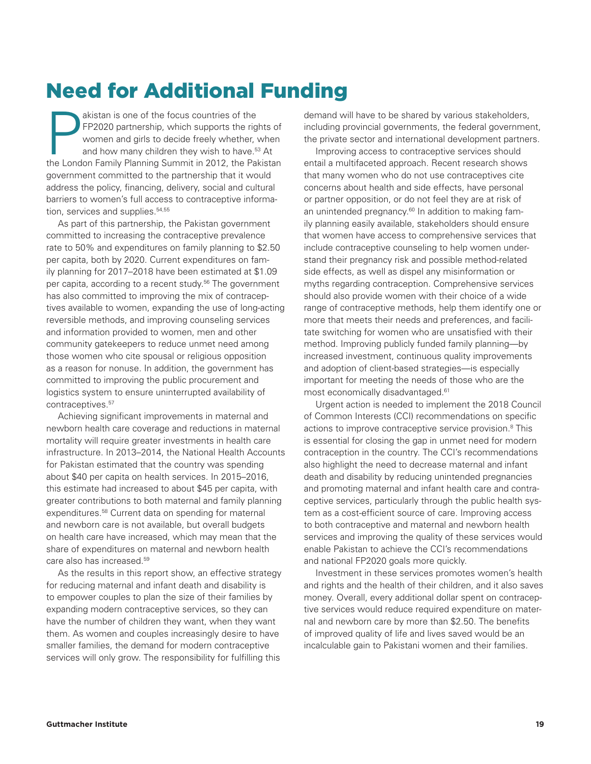# Need for Additional Funding

**Pakistan is one of the focus countries of the FP2020 partnership, which supports the right women and girls to decide freely whether, and how many children they wish to have.<sup>57</sup><br>the London Family Planning Summit in 2012,** FP2020 partnership, which supports the rights of women and girls to decide freely whether, when and how many children they wish to have.<sup>53</sup> At the London Family Planning Summit in 2012, the Pakistan government committed to the partnership that it would address the policy, financing, delivery, social and cultural barriers to women's full access to contraceptive information, services and supplies.<sup>54,55</sup>

As part of this partnership, the Pakistan government committed to increasing the contraceptive prevalence rate to 50% and expenditures on family planning to \$2.50 per capita, both by 2020. Current expenditures on family planning for 2017–2018 have been estimated at \$1.09 per capita, according to a recent study.<sup>56</sup> The government has also committed to improving the mix of contraceptives available to women, expanding the use of long-acting reversible methods, and improving counseling services and information provided to women, men and other community gatekeepers to reduce unmet need among those women who cite spousal or religious opposition as a reason for nonuse. In addition, the government has committed to improving the public procurement and logistics system to ensure uninterrupted availability of contraceptives.<sup>57</sup>

Achieving significant improvements in maternal and newborn health care coverage and reductions in maternal mortality will require greater investments in health care infrastructure. In 2013–2014, the National Health Accounts for Pakistan estimated that the country was spending about \$40 per capita on health services. In 2015–2016, this estimate had increased to about \$45 per capita, with greater contributions to both maternal and family planning expenditures.58 Current data on spending for maternal and newborn care is not available, but overall budgets on health care have increased, which may mean that the share of expenditures on maternal and newborn health care also has increased.59

As the results in this report show, an effective strategy for reducing maternal and infant death and disability is to empower couples to plan the size of their families by expanding modern contraceptive services, so they can have the number of children they want, when they want them. As women and couples increasingly desire to have smaller families, the demand for modern contraceptive services will only grow. The responsibility for fulfilling this

demand will have to be shared by various stakeholders, including provincial governments, the federal government, the private sector and international development partners.

Improving access to contraceptive services should entail a multifaceted approach. Recent research shows that many women who do not use contraceptives cite concerns about health and side effects, have personal or partner opposition, or do not feel they are at risk of an unintended pregnancy.<sup>60</sup> In addition to making family planning easily available, stakeholders should ensure that women have access to comprehensive services that include contraceptive counseling to help women understand their pregnancy risk and possible method-related side effects, as well as dispel any misinformation or myths regarding contraception. Comprehensive services should also provide women with their choice of a wide range of contraceptive methods, help them identify one or more that meets their needs and preferences, and facilitate switching for women who are unsatisfied with their method. Improving publicly funded family planning—by increased investment, continuous quality improvements and adoption of client-based strategies—is especially important for meeting the needs of those who are the most economically disadvantaged.<sup>61</sup>

Urgent action is needed to implement the 2018 Council of Common Interests (CCI) recommendations on specific actions to improve contraceptive service provision.<sup>8</sup> This is essential for closing the gap in unmet need for modern contraception in the country. The CCI's recommendations also highlight the need to decrease maternal and infant death and disability by reducing unintended pregnancies and promoting maternal and infant health care and contraceptive services, particularly through the public health system as a cost-efficient source of care. Improving access to both contraceptive and maternal and newborn health services and improving the quality of these services would enable Pakistan to achieve the CCI's recommendations and national FP2020 goals more quickly.

Investment in these services promotes women's health and rights and the health of their children, and it also saves money. Overall, every additional dollar spent on contraceptive services would reduce required expenditure on maternal and newborn care by more than \$2.50. The benefits of improved quality of life and lives saved would be an incalculable gain to Pakistani women and their families.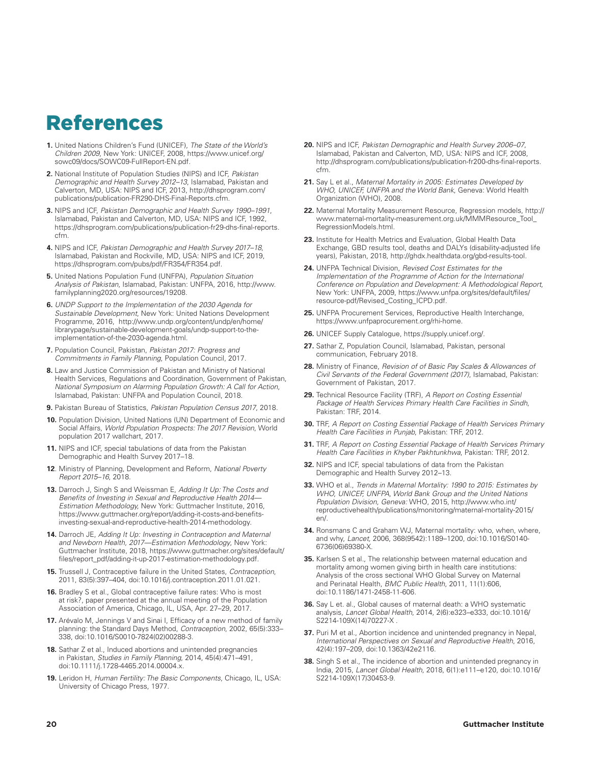### References

- **1.** United Nations Children's Fund (UNICEF), *The State of the World's Children 2009*, New York: UNICEF, 2008, https://www.unicef.org/ sowc09/docs/SOWC09-FullReport-EN.pdf.
- **2.** National Institute of Population Studies (NIPS) and ICF, *Pakistan Demographic and Health Survey 2012–13*, Islamabad, Pakistan and Calverton, MD, USA: NIPS and ICF, 2013, http://dhsprogram.com/ publications/publication-FR290-DHS-Final-Reports.cfm.
- **3.** NIPS and ICF, *Pakistan Demographic and Health Survey 1990–1991*, Islamabad, Pakistan and Calverton, MD, USA: NIPS and ICF, 1992, https://dhsprogram.com/publications/publication-fr29-dhs-final-reports. cfm.
- **4.** NIPS and ICF, *Pakistan Demographic and Health Survey 2017–18*, Islamabad, Pakistan and Rockville, MD, USA: NIPS and ICF, 2019, https://dhsprogram.com/pubs/pdf/FR354/FR354.pdf.
- **5.** United Nations Population Fund (UNFPA), *Population Situation Analysis of Pakistan*, Islamabad, Pakistan: UNFPA, 2016, http://www. familyplanning2020.org/resources/19208.
- **6.** *UNDP Support to the Implementation of the 2030 Agenda for Sustainable Development*, New York: United Nations Development Programme, 2016, http://www.undp.org/content/undp/en/home/ librarypage/sustainable-development-goals/undp-support-to-theimplementation-of-the-2030-agenda.html.
- **7.** Population Council, Pakistan, *Pakistan 2017: Progress and Commitments in Family Planning*, Population Council, 2017.
- **8.** Law and Justice Commission of Pakistan and Ministry of National Health Services, Regulations and Coordination, Government of Pakistan, *National Symposium on Alarming Population Growth: A Call for Action*, Islamabad, Pakistan: UNFPA and Population Council, 2018.
- **9.** Pakistan Bureau of Statistics, *Pakistan Population Census 2017*, 2018.
- **10.** Population Division, United Nations (UN) Department of Economic and Social Affairs, *World Population Prospects: The 2017 Revision*, World population 2017 wallchart, 2017.
- **11.** NIPS and ICF, special tabulations of data from the Pakistan Demographic and Health Survey 2017–18.
- **12**. Ministry of Planning, Development and Reform, *National Poverty Report 2015–16*, 2018.
- **13.** Darroch J, Singh S and Weissman E, *Adding It Up: The Costs and Benefits of Investing in Sexual and Reproductive Health 2014— Estimation Methodology,* New York: Guttmacher Institute, 2016, https://www.guttmacher.org/report/adding-it-costs-and-benefitsinvesting-sexual-and-reproductive-health-2014-methodology.
- **14.** Darroch JE, *Adding It Up: Investing in Contraception and Maternal and Newborn Health, 2017—Estimation Methodology*, New York: Guttmacher Institute, 2018, https://www.guttmacher.org/sites/default/ files/report\_pdf/adding-it-up-2017-estimation-methodology.pdf.
- **15.** Trussell J, Contraceptive failure in the United States, *Contraception*, 2011, 83(5):397–404, doi:10.1016/j.contraception.2011.01.021.
- **16.** Bradley S et al., Global contraceptive failure rates: Who is most at risk?, paper presented at the annual meeting of the Population Association of America, Chicago, IL, USA, Apr. 27–29, 2017.
- **17.** Arévalo M, Jennings V and Sinai I, Efficacy of a new method of family planning: the Standard Days Method, *Contraception*, 2002, 65(5):333– 338, doi:10.1016/S0010-7824(02)00288-3.
- **18.** Sathar Z et al., Induced abortions and unintended pregnancies in Pakistan, *Studies in Family Planning*, 2014, 45(4):471–491, doi:10.1111/j.1728-4465.2014.00004.x.
- **19.** Leridon H, *Human Fertility: The Basic Components*, Chicago, IL, USA: University of Chicago Press, 1977.
- **20.** NIPS and ICF, *Pakistan Demographic and Health Survey 2006–07*, Islamabad, Pakistan and Calverton, MD, USA: NIPS and ICF, 2008, http://dhsprogram.com/publications/publication-fr200-dhs-final-reports. cfm.
- **21.** Say L et al., *Maternal Mortality in 2005: Estimates Developed by WHO, UNICEF, UNFPA and the World Bank*, Geneva: World Health Organization (WHO), 2008.
- **22.** Maternal Mortality Measurement Resource, Regression models, http:// www.maternal-mortality-measurement.org.uk/MMMResource\_Tool\_ RegressionModels.html.
- **23.** Institute for Health Metrics and Evaluation, Global Health Data Exchange, GBD results tool, deaths and DALYs (disability-adjusted life years), Pakistan, 2018, http://ghdx.healthdata.org/gbd-results-tool.
- **24.** UNFPA Technical Division, *Revised Cost Estimates for the Implementation of the Programme of Action for the International Conference on Population and Development: A Methodological Report*, New York: UNFPA, 2009, https://www.unfpa.org/sites/default/files/ resource-pdf/Revised\_Costing\_ICPD.pdf.
- **25.** UNFPA Procurement Services, Reproductive Health Interchange, https://www.unfpaprocurement.org/rhi-home.
- **26.** UNICEF Supply Catalogue, https://supply.unicef.org/.
- **27.** Sathar Z, Population Council, Islamabad, Pakistan, personal communication, February 2018.
- **28.** Ministry of Finance, *Revision of of Basic Pay Scales & Allowances of Civil Servants of the Federal Government (2017)*, Islamabad, Pakistan: Government of Pakistan, 2017.
- **29.** Technical Resource Facility (TRF), *A Report on Costing Essential Package of Health Services Primary Health Care Facilities in Sindh*, Pakistan: TRF, 2014.
- **30.** TRF, *A Report on Costing Essential Package of Health Services Primary Health Care Facilities in Punjab*, Pakistan: TRF, 2012.
- **31.** TRF, *A Report on Costing Essential Package of Health Services Primary Health Care Facilities in Khyber Pakhtunkhwa*, Pakistan: TRF, 2012.
- **32.** NIPS and ICF, special tabulations of data from the Pakistan Demographic and Health Survey 2012–13.
- **33.** WHO et al., *Trends in Maternal Mortality: 1990 to 2015: Estimates by WHO, UNICEF, UNFPA, World Bank Group and the United Nations Population Division, Geneva:* WHO, 2015, http://www.who.int/ reproductivehealth/publications/monitoring/maternal-mortality-2015/ en/.
- **34.** Ronsmans C and Graham WJ, Maternal mortality: who, when, where, and why, *Lancet,* 2006, 368(9542):1189–1200, doi:10.1016/S0140- 6736(06)69380-X.
- **35.** Karlsen S et al., The relationship between maternal education and mortality among women giving birth in health care institutions: Analysis of the cross sectional WHO Global Survey on Maternal and Perinatal Health, *BMC Public Health*, 2011, 11(1):606, doi:10.1186/1471-2458-11-606.
- **36.** Say L et. al., Global causes of maternal death: a WHO systematic analysis, *Lancet Global Health*, 2014, 2(6):e323–e333, doi:10.1016/ S2214-109X(14)70227-X .
- **37.** Puri M et al., Abortion incidence and unintended pregnancy in Nepal, *International Perspectives on Sexual and Reproductive Health*, 2016, 42(4):197–209, doi:10.1363/42e2116.
- **38.** Singh S et al., The incidence of abortion and unintended pregnancy in India, 2015, *Lancet Global Health*, 2018, 6(1):e111–e120, doi:10.1016/ S2214-109X(17)30453-9.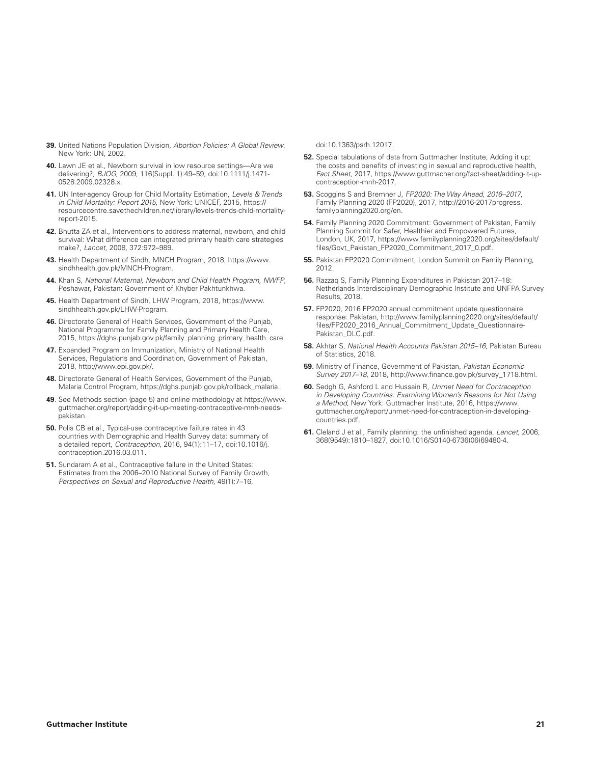- **39.** United Nations Population Division, *Abortion Policies: A Global Review*, New York: UN, 2002.
- **40.** Lawn JE et al., Newborn survival in low resource settings—Are we delivering?, *BJOG*, 2009, 116(Suppl. 1):49–59, doi:10.1111/j.1471- 0528.2009.02328.x.
- **41.** UN Inter-agency Group for Child Mortality Estimation, *Levels & Trends in Child Mortality: Report 2015*, New York: UNICEF, 2015, https:// resourcecentre.savethechildren.net/library/levels-trends-child-mortalityreport-2015.
- **42.** Bhutta ZA et al., Interventions to address maternal, newborn, and child survival: What difference can integrated primary health care strategies make?, *Lancet*, 2008, 372:972–989.
- **43.** Health Department of Sindh, MNCH Program, 2018, https://www. sindhhealth.gov.pk/MNCH-Program.
- **44.** Khan S, *National Maternal, Newborn and Child Health Program, NWFP*, Peshawar, Pakistan: Government of Khyber Pakhtunkhwa.
- **45.** Health Department of Sindh, LHW Program, 2018, https://www. sindhhealth.gov.pk/LHW-Program.
- **46.** Directorate General of Health Services, Government of the Punjab, National Programme for Family Planning and Primary Health Care, 2015, https://dghs.punjab.gov.pk/family\_planning\_primary\_health\_care.
- **47.** Expanded Program on Immunization, Ministry of National Health Services, Regulations and Coordination, Government of Pakistan, 2018, http://www.epi.gov.pk/.
- **48.** Directorate General of Health Services, Government of the Punjab, Malaria Control Program, https://dghs.punjab.gov.pk/rollback\_malaria.
- **49**. See Methods section (page 5) and online methodology at https://www. guttmacher.org/report/adding-it-up-meeting-contraceptive-mnh-needspakistan.
- **50.** Polis CB et al., Typical-use contraceptive failure rates in 43 countries with Demographic and Health Survey data: summary of a detailed report, *Contraception*, 2016, 94(1):11–17, doi:10.1016/j. contraception.2016.03.011.
- **51.** Sundaram A et al., Contraceptive failure in the United States: Estimates from the 2006–2010 National Survey of Family Growth, *Perspectives on Sexual and Reproductive Health*, 49(1):7–16,

doi:10.1363/psrh.12017.

- **52.** Special tabulations of data from Guttmacher Institute, Adding it up: the costs and benefits of investing in sexual and reproductive health, *Fact Sheet*, 2017, https://www.guttmacher.org/fact-sheet/adding-it-upcontraception-mnh-2017.
- **53.** Scoggins S and Bremner J, *FP2020: The Way Ahead, 2016–2017*, Family Planning 2020 (FP2020), 2017, http://2016-2017progress. familyplanning2020.org/en.
- **54.** Family Planning 2020 Commitment: Government of Pakistan, Family Planning Summit for Safer, Healthier and Empowered Futures, London, UK, 2017, https://www.familyplanning2020.org/sites/default/ files/Govt\_Pakistan\_FP2020\_Commitment\_2017\_0.pdf.
- **55.** Pakistan FP2020 Commitment, London Summit on Family Planning, 2012.
- **56.** Razzaq S, Family Planning Expenditures in Pakistan 2017–18: Netherlands Interdisciplinary Demographic Institute and UNFPA Survey Results, 2018.
- **57.** FP2020, 2016 FP2020 annual commitment update questionnaire response: Pakistan, http://www.familyplanning2020.org/sites/default/ files/FP2020\_2016\_Annual\_Commitment\_Update\_Questionnaire-Pakistan\_DLC.pdf.
- **58.** Akhtar S, *National Health Accounts Pakistan 2015–16,* Pakistan Bureau of Statistics, 2018.
- **59.** Ministry of Finance, Government of Pakistan, *Pakistan Economic Survey 2017–18,* 2018, http://www.finance.gov.pk/survey\_1718.html.
- **60.** Sedgh G, Ashford L and Hussain R, *Unmet Need for Contraception in Developing Countries: Examining Women's Reasons for Not Using a Method*, New York: Guttmacher Institute, 2016, https://www. guttmacher.org/report/unmet-need-for-contraception-in-developingcountries.pdf.
- **61.** Cleland J et al., Family planning: the unfinished agenda, *Lancet,* 2006, 368(9549):1810–1827, doi:10.1016/S0140-6736(06)69480-4.